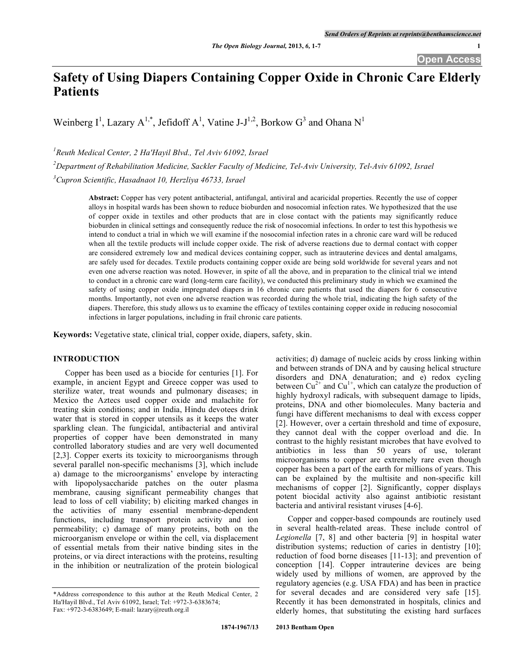# **Safety of Using Diapers Containing Copper Oxide in Chronic Care Elderly Patients**

Weinberg  $I^1$ , Lazary  $A^{1,*}$ , Jefidoff  $A^1$ , Vatine J-J<sup>1,2</sup>, Borkow  $G^3$  and Ohana  $N^1$ 

*1 Reuth Medical Center, 2 Ha'Hayil Blvd., Tel Aviv 61092, Israel*

*2 Department of Rehabilitation Medicine, Sackler Faculty of Medicine, Tel-Aviv University, Tel-Aviv 61092, Israel*

*3 Cupron Scientific, Hasadnaot 10, Herzliya 46733, Israel*

**Abstract:** Copper has very potent antibacterial, antifungal, antiviral and acaricidal properties. Recently the use of copper alloys in hospital wards has been shown to reduce bioburden and nosocomial infection rates. We hypothesized that the use of copper oxide in textiles and other products that are in close contact with the patients may significantly reduce bioburden in clinical settings and consequently reduce the risk of nosocomial infections. In order to test this hypothesis we intend to conduct a trial in which we will examine if the nosocomial infection rates in a chronic care ward will be reduced when all the textile products will include copper oxide. The risk of adverse reactions due to dermal contact with copper are considered extremely low and medical devices containing copper, such as intrauterine devices and dental amalgams, are safely used for decades. Textile products containing copper oxide are being sold worldwide for several years and not even one adverse reaction was noted. However, in spite of all the above, and in preparation to the clinical trial we intend to conduct in a chronic care ward (long-term care facility), we conducted this preliminary study in which we examined the safety of using copper oxide impregnated diapers in 16 chronic care patients that used the diapers for 6 consecutive months. Importantly, not even one adverse reaction was recorded during the whole trial, indicating the high safety of the diapers. Therefore, this study allows us to examine the efficacy of textiles containing copper oxide in reducing nosocomial infections in larger populations, including in frail chronic care patients.

**Keywords:** Vegetative state, clinical trial, copper oxide, diapers, safety, skin.

# **INTRODUCTION**

Copper has been used as a biocide for centuries [1]. For example, in ancient Egypt and Greece copper was used to sterilize water, treat wounds and pulmonary diseases; in Mexico the Aztecs used copper oxide and malachite for treating skin conditions; and in India, Hindu devotees drink water that is stored in copper utensils as it keeps the water sparkling clean. The fungicidal, antibacterial and antiviral properties of copper have been demonstrated in many controlled laboratory studies and are very well documented [2,3]. Copper exerts its toxicity to microorganisms through several parallel non-specific mechanisms [3], which include a) damage to the microorganisms' envelope by interacting with lipopolysaccharide patches on the outer plasma membrane, causing significant permeability changes that lead to loss of cell viability; b) eliciting marked changes in the activities of many essential membrane-dependent functions, including transport protein activity and ion permeability; c) damage of many proteins, both on the microorganism envelope or within the cell, via displacement of essential metals from their native binding sites in the proteins, or via direct interactions with the proteins, resulting in the inhibition or neutralization of the protein biological

activities; d) damage of nucleic acids by cross linking within and between strands of DNA and by causing helical structure disorders and DNA denaturation; and e) redox cycling between Cu<sup>2+</sup> and Cu<sup>1+</sup>, which can catalyze the production of highly hydroxyl radicals, with subsequent damage to lipids, proteins, DNA and other biomolecules. Many bacteria and fungi have different mechanisms to deal with excess copper [2]. However, over a certain threshold and time of exposure, they cannot deal with the copper overload and die. In contrast to the highly resistant microbes that have evolved to antibiotics in less than 50 years of use, tolerant microorganisms to copper are extremely rare even though copper has been a part of the earth for millions of years. This can be explained by the multisite and non-specific kill mechanisms of copper [2]. Significantly, copper displays potent biocidal activity also against antibiotic resistant bacteria and antiviral resistant viruses [4-6].

Copper and copper-based compounds are routinely used in several health-related areas. These include control of *Legionella* [7, 8] and other bacteria [9] in hospital water distribution systems; reduction of caries in dentistry [10]; reduction of food borne diseases [11-13]; and prevention of conception [14]. Copper intrauterine devices are being widely used by millions of women, are approved by the regulatory agencies (e.g. USA FDA) and has been in practice for several decades and are considered very safe [15]. Recently it has been demonstrated in hospitals, clinics and elderly homes, that substituting the existing hard surfaces

<sup>\*</sup>Address correspondence to this author at the Reuth Medical Center, 2 Ha'Hayil Blvd., Tel Aviv 61092, Israel; Tel: +972-3-6383674; Fax: +972-3-6383649; E-mail: lazary@reuth.org.il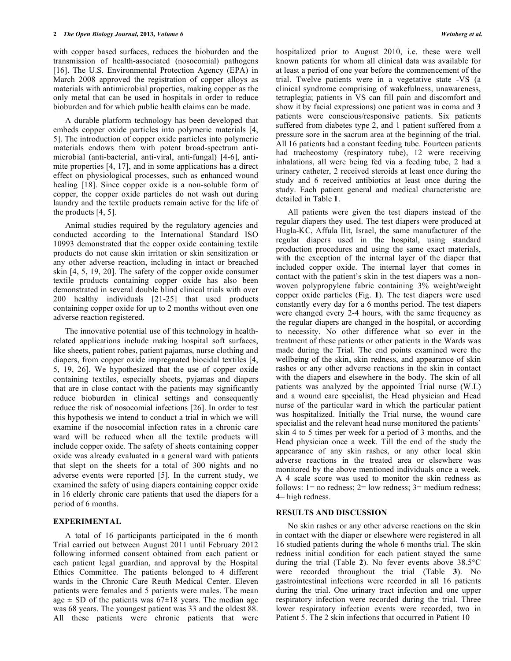with copper based surfaces, reduces the bioburden and the transmission of health-associated (nosocomial) pathogens [16]. The U.S. Environmental Protection Agency (EPA) in March 2008 approved the registration of copper alloys as materials with antimicrobial properties, making copper as the only metal that can be used in hospitals in order to reduce bioburden and for which public health claims can be made.

A durable platform technology has been developed that embeds copper oxide particles into polymeric materials [4, 5]. The introduction of copper oxide particles into polymeric materials endows them with potent broad-spectrum antimicrobial (anti-bacterial, anti-viral, anti-fungal) [4-6], antimite properties [4, 17], and in some applications has a direct effect on physiological processes, such as enhanced wound healing [18]. Since copper oxide is a non-soluble form of copper, the copper oxide particles do not wash out during laundry and the textile products remain active for the life of the products [4, 5].

Animal studies required by the regulatory agencies and conducted according to the International Standard ISO 10993 demonstrated that the copper oxide containing textile products do not cause skin irritation or skin sensitization or any other adverse reaction, including in intact or breached skin [4, 5, 19, 20]. The safety of the copper oxide consumer textile products containing copper oxide has also been demonstrated in several double blind clinical trials with over 200 healthy individuals [21-25] that used products containing copper oxide for up to 2 months without even one adverse reaction registered.

The innovative potential use of this technology in healthrelated applications include making hospital soft surfaces, like sheets, patient robes, patient pajamas, nurse clothing and diapers, from copper oxide impregnated biocidal textiles [4, 5, 19, 26]. We hypothesized that the use of copper oxide containing textiles, especially sheets, pyjamas and diapers that are in close contact with the patients may significantly reduce bioburden in clinical settings and consequently reduce the risk of nosocomial infections [26]. In order to test this hypothesis we intend to conduct a trial in which we will examine if the nosocomial infection rates in a chronic care ward will be reduced when all the textile products will include copper oxide. The safety of sheets containing copper oxide was already evaluated in a general ward with patients that slept on the sheets for a total of 300 nights and no adverse events were reported [5]. In the current study, we examined the safety of using diapers containing copper oxide in 16 elderly chronic care patients that used the diapers for a period of 6 months.

#### **EXPERIMENTAL**

A total of 16 participants participated in the 6 month Trial carried out between August 2011 until February 2012 following informed consent obtained from each patient or each patient legal guardian, and approval by the Hospital Ethics Committee. The patients belonged to 4 different wards in the Chronic Care Reuth Medical Center. Eleven patients were females and 5 patients were males. The mean age  $\pm$  SD of the patients was 67 $\pm$ 18 years. The median age was 68 years. The youngest patient was 33 and the oldest 88. All these patients were chronic patients that were

hospitalized prior to August 2010, i.e. these were well known patients for whom all clinical data was available for at least a period of one year before the commencement of the trial. Twelve patients were in a vegetative state -VS (a clinical syndrome comprising of wakefulness, unawareness, tetraplegia; patients in VS can fill pain and discomfort and show it by facial expressions) one patient was in coma and 3 patients were conscious/responsive patients. Six patients suffered from diabetes type 2, and 1 patient suffered from a pressure sore in the sacrum area at the beginning of the trial. All 16 patients had a constant feeding tube. Fourteen patients had tracheostomy (respiratory tube), 12 were receiving inhalations, all were being fed via a feeding tube, 2 had a urinary catheter, 2 received steroids at least once during the study and 6 received antibiotics at least once during the study. Each patient general and medical characteristic are detailed in Table **1**.

All patients were given the test diapers instead of the regular diapers they used. The test diapers were produced at Hugla-KC, Affula Ilit, Israel, the same manufacturer of the regular diapers used in the hospital, using standard production procedures and using the same exact materials, with the exception of the internal layer of the diaper that included copper oxide. The internal layer that comes in contact with the patient's skin in the test diapers was a nonwoven polypropylene fabric containing 3% weight/weight copper oxide particles (Fig. **1**). The test diapers were used constantly every day for a 6 months period. The test diapers were changed every 2-4 hours, with the same frequency as the regular diapers are changed in the hospital, or according to necessity. No other difference what so ever in the treatment of these patients or other patients in the Wards was made during the Trial. The end points examined were the wellbeing of the skin, skin redness, and appearance of skin rashes or any other adverse reactions in the skin in contact with the diapers and elsewhere in the body. The skin of all patients was analyzed by the appointed Trial nurse (W.I.) and a wound care specialist, the Head physician and Head nurse of the particular ward in which the particular patient was hospitalized. Initially the Trial nurse, the wound care specialist and the relevant head nurse monitored the patients' skin 4 to 5 times per week for a period of 3 months, and the Head physician once a week. Till the end of the study the appearance of any skin rashes, or any other local skin adverse reactions in the treated area or elsewhere was monitored by the above mentioned individuals once a week. A 4 scale score was used to monitor the skin redness as follows:  $1=$  no redness;  $2=$  low redness;  $3=$  medium redness; 4= high redness.

# **RESULTS AND DISCUSSION**

No skin rashes or any other adverse reactions on the skin in contact with the diaper or elsewhere were registered in all 16 studied patients during the whole 6 months trial. The skin redness initial condition for each patient stayed the same during the trial (Table **2**). No fever events above 38.5°C were recorded throughout the trial (Table **3**). No gastrointestinal infections were recorded in all 16 patients during the trial. One urinary tract infection and one upper respiratory infection were recorded during the trial. Three lower respiratory infection events were recorded, two in Patient 5. The 2 skin infections that occurred in Patient 10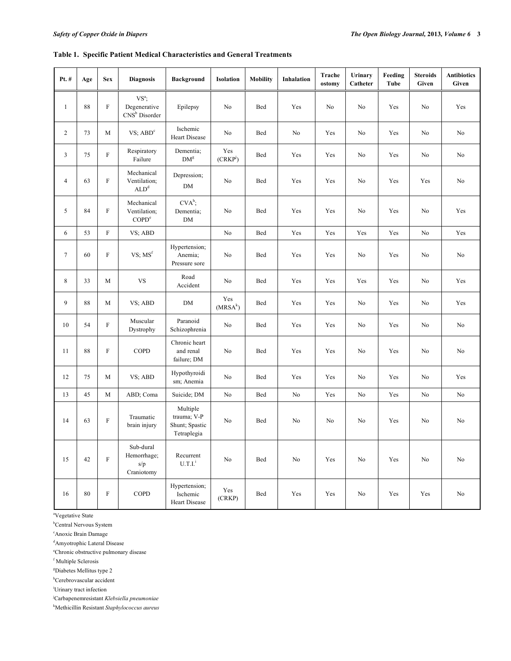# **Table 1. Specific Patient Medical Characteristics and General Treatments**

| Pt. #          | Age      | <b>Sex</b>                | <b>Diagnosis</b>                                               | <b>Background</b>                                        | <b>Isolation</b>  | <b>Mobility</b> | Inhalation | Trache<br>ostomy | Urinary<br>Catheter | Feeding<br>Tube | <b>Steroids</b><br>Given | <b>Antibiotics</b><br>Given |
|----------------|----------|---------------------------|----------------------------------------------------------------|----------------------------------------------------------|-------------------|-----------------|------------|------------------|---------------------|-----------------|--------------------------|-----------------------------|
| 1              | $\bf 88$ | $\boldsymbol{\mathrm{F}}$ | VS <sup>a</sup> ;<br>Degenerative<br>CNS <sup>b</sup> Disorder | Epilepsy                                                 | No                | Bed             | Yes        | No               | No                  | Yes             | No                       | Yes                         |
| $\overline{2}$ | 73       | M                         | $VS$ ; $ABDc$                                                  | Ischemic<br>Heart Disease                                | No                | Bed             | No         | Yes              | No                  | Yes             | No                       | N <sub>0</sub>              |
| 3              | 75       | $\boldsymbol{\mathrm{F}}$ | Respiratory<br>Failure                                         | Dementia;<br>$DM^g$                                      | Yes<br>$(CRKP^j)$ | Bed             | Yes        | Yes              | No                  | Yes             | No                       | $\rm No$                    |
| 4              | 63       | $\boldsymbol{\mathrm{F}}$ | Mechanical<br>Ventilation;<br>ALD <sup>d</sup>                 | Depression;<br>$DM$                                      | No                | Bed             | Yes        | Yes              | No                  | Yes             | Yes                      | No                          |
| 5              | 84       | $\boldsymbol{\mathrm{F}}$ | Mechanical<br>Ventilation;<br>COPD <sup>e</sup>                | $CVAh$ ;<br>Dementia;<br>${\rm DM}$                      | No                | Bed             | Yes        | Yes              | No                  | Yes             | No                       | Yes                         |
| 6              | 53       | $\rm F$                   | VS; ABD                                                        |                                                          | $\rm No$          | Bed             | Yes        | Yes              | Yes                 | Yes             | $\rm No$                 | Yes                         |
| $\tau$         | 60       | $\boldsymbol{\mathrm{F}}$ | VS; MS <sup>f</sup>                                            | Hypertension;<br>Anemia;<br>Pressure sore                | No                | Bed             | Yes        | Yes              | No                  | Yes             | No                       | No                          |
| 8              | 33       | M                         | <b>VS</b>                                                      | Road<br>Accident                                         | No                | Bed             | Yes        | Yes              | Yes                 | Yes             | No                       | Yes                         |
| 9              | 88       | M                         | VS; ABD                                                        | $DM$                                                     | Yes<br>$(MRSA^k)$ | Bed             | Yes        | Yes              | No                  | Yes             | No                       | Yes                         |
| 10             | 54       | $\rm F$                   | Muscular<br>Dystrophy                                          | Paranoid<br>Schizophrenia                                | No                | Bed             | Yes        | Yes              | No                  | Yes             | No                       | $\rm No$                    |
| 11             | 88       | $\mathbf F$               | COPD                                                           | Chronic heart<br>and renal<br>failure; DM                | $\rm No$          | Bed             | Yes        | Yes              | No                  | Yes             | No                       | $\rm No$                    |
| 12             | 75       | M                         | VS; ABD                                                        | Hypothyroidi<br>sm; Anemia                               | No                | Bed             | Yes        | Yes              | No                  | Yes             | No                       | Yes                         |
| 13             | 45       | M                         | ABD; Coma                                                      | Suicide; DM                                              | $\rm No$          | Bed             | $\rm No$   | Yes              | $\rm No$            | Yes             | $\rm No$                 | $\rm No$                    |
| 14             | 63       | $\boldsymbol{\mathrm{F}}$ | Traumatic<br>brain injury                                      | Multiple<br>trauma; V-P<br>Shunt; Spastic<br>Tetraplegia | $\rm No$          | Bed             | No         | No               | No                  | Yes             | No                       | $\rm No$                    |
| 15             | 42       | $\rm F$                   | Sub-dural<br>Hemorrhage;<br>s/p<br>Craniotomy                  | Recurrent<br>$U.T.I.$ <sup>i</sup>                       | No                | Bed             | No         | Yes              | No                  | Yes             | No                       | $\rm No$                    |
| 16             | 80       | $\rm F$                   | COPD                                                           | Hypertension;<br>Ischemic<br>Heart Disease               | Yes<br>(CRKP)     | Bed             | Yes        | Yes              | No                  | Yes             | Yes                      | No                          |

a Vegetative State

**b**Central Nervous System

c Anoxic Brain Damage

d Amyotrophic Lateral Disease

e Chronic obstructive pulmonary disease

f Multiple Sclerosis

g Diabetes Mellitus type 2

h Cerebrovascular accident

i Urinary tract infection

j Carbapenemresistant *Klebsiella pneumoniae*

k Methicillin Resistant *Staphylococcus aureus*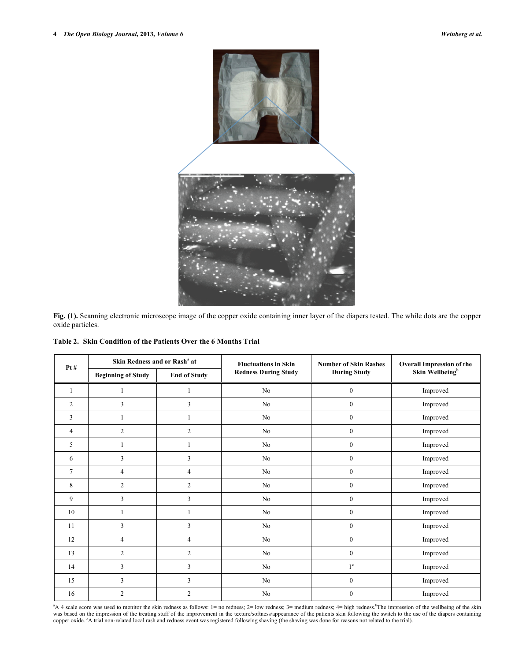

**Fig. (1).** Scanning electronic microscope image of the copper oxide containing inner layer of the diapers tested. The while dots are the copper oxide particles.

|  |  |  | Table 2. Skin Condition of the Patients Over the 6 Months Trial |  |  |
|--|--|--|-----------------------------------------------------------------|--|--|
|--|--|--|-----------------------------------------------------------------|--|--|

| Pt#            | Skin Redness and or Rash <sup>ª</sup> at |                     | <b>Fluctuations in Skin</b> | <b>Number of Skin Rashes</b> | <b>Overall Impression of the</b> |  |
|----------------|------------------------------------------|---------------------|-----------------------------|------------------------------|----------------------------------|--|
|                | <b>Beginning of Study</b>                | <b>End of Study</b> | <b>Redness During Study</b> | <b>During Study</b>          | Skin Wellbeing <sup>b</sup>      |  |
|                |                                          |                     | N <sub>o</sub>              | $\boldsymbol{0}$             | Improved                         |  |
| $\overline{2}$ | 3                                        | 3                   | N <sub>o</sub>              | $\boldsymbol{0}$             | Improved                         |  |
| 3              | 1                                        |                     | N <sub>o</sub>              | $\overline{0}$               | Improved                         |  |
| $\overline{4}$ | $\overline{c}$                           | $\overline{2}$      | No                          | $\boldsymbol{0}$             | Improved                         |  |
| 5              |                                          |                     | No                          | $\boldsymbol{0}$             | Improved                         |  |
| 6              | 3                                        | 3                   | No                          | $\boldsymbol{0}$             | Improved                         |  |
| $\overline{7}$ | 4                                        | $\overline{4}$      | No                          | $\boldsymbol{0}$             | Improved                         |  |
| 8              | $\overline{2}$                           | $\mathfrak{2}$      | No                          | $\boldsymbol{0}$             | Improved                         |  |
| 9              | 3                                        | $\overline{3}$      | No                          | $\boldsymbol{0}$             | Improved                         |  |
| 10             |                                          |                     | No                          | $\boldsymbol{0}$             | Improved                         |  |
| 11             | 3                                        | 3                   | No                          | $\boldsymbol{0}$             | Improved                         |  |
| 12             | 4                                        | $\overline{4}$      | No                          | $\boldsymbol{0}$             | Improved                         |  |
| 13             | $\overline{2}$                           | $\overline{c}$      | No                          | $\boldsymbol{0}$             | Improved                         |  |
| 14             | 3                                        | 3                   | No                          | $1^{\circ}$                  | Improved                         |  |
| 15             | 3                                        | 3                   | N <sub>o</sub>              | $\boldsymbol{0}$             | Improved                         |  |
| 16             | $\overline{2}$                           | $\overline{2}$      | No                          | $\overline{0}$               | Improved                         |  |

<sup>a</sup>A 4 scale score was used to monitor the skin redness as follows: 1= no redness; 2= low redness; 3= medium redness; 4= high redness.<sup>b</sup>The impression of the wellbeing of the skin was based on the impression of the treating stuff of the improvement in the texture/softness/appearance of the patients skin following the switch to the use of the diapers containing copper oxide. "A trial non-related local rash and redness event was registered following shaving (the shaving was done for reasons not related to the trial).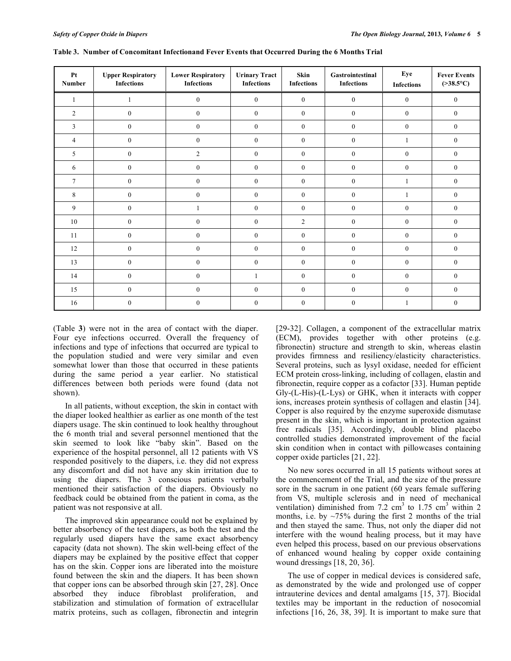| Pt<br><b>Number</b> | <b>Upper Respiratory</b><br><b>Infections</b> | <b>Lower Respiratory</b><br><b>Infections</b> | <b>Urinary Tract</b><br><b>Infections</b> | Skin<br><b>Infections</b> | Gastrointestinal<br><b>Infections</b> | Eye<br><b>Infections</b> | <b>Fever Events</b><br>( >38.5°C) |
|---------------------|-----------------------------------------------|-----------------------------------------------|-------------------------------------------|---------------------------|---------------------------------------|--------------------------|-----------------------------------|
| $\mathbf{1}$        | 1                                             | $\mathbf{0}$                                  | $\mathbf{0}$                              | $\overline{0}$            | $\boldsymbol{0}$                      | $\mathbf{0}$             | $\mathbf{0}$                      |
| $\overline{c}$      | $\mathbf{0}$                                  | $\mathbf{0}$                                  | $\mathbf{0}$                              | $\overline{0}$            | $\mathbf{0}$                          | $\mathbf{0}$             | $\mathbf{0}$                      |
| $\mathbf{3}$        | $\mathbf{0}$                                  | $\mathbf{0}$                                  | $\mathbf{0}$                              | $\overline{0}$            | $\mathbf{0}$                          | $\mathbf{0}$             | $\mathbf{0}$                      |
| $\overline{4}$      | $\mathbf{0}$                                  | $\mathbf{0}$                                  | $\mathbf{0}$                              | $\mathbf{0}$              | $\boldsymbol{0}$                      |                          | $\mathbf{0}$                      |
| 5                   | $\mathbf{0}$                                  | $\overline{2}$                                | $\overline{0}$                            | $\mathbf{0}$              | $\mathbf{0}$                          | $\mathbf{0}$             | $\mathbf{0}$                      |
| 6                   | $\mathbf{0}$                                  | $\mathbf{0}$                                  | $\mathbf{0}$                              | $\mathbf{0}$              | $\mathbf{0}$                          | $\mathbf{0}$             | $\mathbf{0}$                      |
| $\tau$              | $\mathbf{0}$                                  | $\mathbf{0}$                                  | $\overline{0}$                            | $\mathbf{0}$              | $\mathbf{0}$                          |                          | $\mathbf{0}$                      |
| 8                   | $\boldsymbol{0}$                              | $\mathbf{0}$                                  | $\mathbf{0}$                              | $\mathbf{0}$              | $\mathbf{0}$                          |                          | $\mathbf{0}$                      |
| 9                   | $\mathbf{0}$                                  | 1                                             | $\mathbf{0}$                              | $\mathbf{0}$              | $\mathbf{0}$                          | $\mathbf{0}$             | $\mathbf{0}$                      |
| 10                  | $\mathbf{0}$                                  | $\overline{0}$                                | $\mathbf{0}$                              | $\overline{c}$            | $\mathbf{0}$                          | $\boldsymbol{0}$         | $\mathbf{0}$                      |
| 11                  | $\mathbf{0}$                                  | $\overline{0}$                                | $\overline{0}$                            | $\mathbf{0}$              | $\mathbf{0}$                          | $\boldsymbol{0}$         | $\mathbf{0}$                      |
| 12                  | $\mathbf{0}$                                  | $\boldsymbol{0}$                              | $\overline{0}$                            | $\mathbf{0}$              | $\mathbf{0}$                          | $\boldsymbol{0}$         | $\mathbf{0}$                      |
| 13                  | $\boldsymbol{0}$                              | $\boldsymbol{0}$                              | $\mathbf{0}$                              | $\boldsymbol{0}$          | $\boldsymbol{0}$                      | $\boldsymbol{0}$         | $\boldsymbol{0}$                  |
| 14                  | $\mathbf{0}$                                  | $\mathbf{0}$                                  | 1                                         | $\overline{0}$            | $\boldsymbol{0}$                      | $\boldsymbol{0}$         | $\boldsymbol{0}$                  |
| 15                  | $\mathbf{0}$                                  | $\mathbf{0}$                                  | $\mathbf{0}$                              | $\overline{0}$            | $\mathbf{0}$                          | $\overline{0}$           | $\mathbf{0}$                      |
| 16                  | $\mathbf{0}$                                  | $\mathbf{0}$                                  | $\mathbf{0}$                              | $\boldsymbol{0}$          | $\boldsymbol{0}$                      | 1                        | $\boldsymbol{0}$                  |

|  | Table 3. Number of Concomitant Infectionand Fever Events that Occurred During the 6 Months Trial |  |  |  |  |
|--|--------------------------------------------------------------------------------------------------|--|--|--|--|
|  |                                                                                                  |  |  |  |  |

(Table **3**) were not in the area of contact with the diaper. Four eye infections occurred. Overall the frequency of infections and type of infections that occurred are typical to the population studied and were very similar and even somewhat lower than those that occurred in these patients during the same period a year earlier. No statistical differences between both periods were found (data not shown).

In all patients, without exception, the skin in contact with the diaper looked healthier as earlier as one month of the test diapers usage. The skin continued to look healthy throughout the 6 month trial and several personnel mentioned that the skin seemed to look like "baby skin". Based on the experience of the hospital personnel, all 12 patients with VS responded positively to the diapers, i.e. they did not express any discomfort and did not have any skin irritation due to using the diapers. The 3 conscious patients verbally mentioned their satisfaction of the diapers. Obviously no feedback could be obtained from the patient in coma, as the patient was not responsive at all.

The improved skin appearance could not be explained by better absorbency of the test diapers, as both the test and the regularly used diapers have the same exact absorbency capacity (data not shown). The skin well-being effect of the diapers may be explained by the positive effect that copper has on the skin. Copper ions are liberated into the moisture found between the skin and the diapers. It has been shown that copper ions can be absorbed through skin [27, 28]. Once absorbed they induce fibroblast proliferation, and stabilization and stimulation of formation of extracellular matrix proteins, such as collagen, fibronectin and integrin

[29-32]. Collagen, a component of the extracellular matrix (ECM), provides together with other proteins (e.g. fibronectin) structure and strength to skin, whereas elastin provides firmness and resiliency/elasticity characteristics. Several proteins, such as lysyl oxidase, needed for efficient ECM protein cross-linking, including of collagen, elastin and fibronectin, require copper as a cofactor [33]. Human peptide Gly-(L-His)-(L-Lys) or GHK, when it interacts with copper ions, increases protein synthesis of collagen and elastin [34]. Copper is also required by the enzyme superoxide dismutase present in the skin, which is important in protection against free radicals [35]. Accordingly, double blind placebo controlled studies demonstrated improvement of the facial skin condition when in contact with pillowcases containing copper oxide particles [21, 22].

No new sores occurred in all 15 patients without sores at the commencement of the Trial, and the size of the pressure sore in the sacrum in one patient (60 years female suffering from VS, multiple sclerosis and in need of mechanical ventilation) diminished from 7.2  $\text{cm}^3$  to 1.75  $\text{cm}^3$  within 2 months, i.e. by  $\sim$ 75% during the first 2 months of the trial and then stayed the same. Thus, not only the diaper did not interfere with the wound healing process, but it may have even helped this process, based on our previous observations of enhanced wound healing by copper oxide containing wound dressings [18, 20, 36].

The use of copper in medical devices is considered safe, as demonstrated by the wide and prolonged use of copper intrauterine devices and dental amalgams [15, 37]. Biocidal textiles may be important in the reduction of nosocomial infections [16, 26, 38, 39]. It is important to make sure that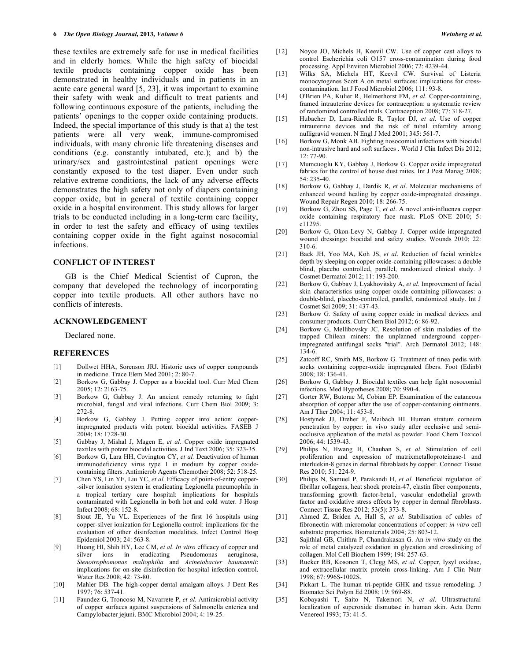these textiles are extremely safe for use in medical facilities and in elderly homes. While the high safety of biocidal textile products containing copper oxide has been demonstrated in healthy individuals and in patients in an acute care general ward [5, 23], it was important to examine their safety with weak and difficult to treat patients and following continuous exposure of the patients, including the patients' openings to the copper oxide containing products. Indeed, the special importance of this study is that a) the test patients were all very weak, immune-compromised individuals, with many chronic life threatening diseases and conditions (e.g. constantly intubated, etc.); and b) the urinary/sex and gastrointestinal patient openings were constantly exposed to the test diaper. Even under such relative extreme conditions, the lack of any adverse effects demonstrates the high safety not only of diapers containing copper oxide, but in general of textile containing copper oxide in a hospital environment. This study allows for larger trials to be conducted including in a long-term care facility, in order to test the safety and efficacy of using textiles containing copper oxide in the fight against nosocomial infections.

# **CONFLICT OF INTEREST**

GB is the Chief Medical Scientist of Cupron, the company that developed the technology of incorporating copper into textile products. All other authors have no conflicts of interests.

### **ACKNOWLEDGEMENT**

Declared none.

### **REFERENCES**

- [1] Dollwet HHA, Sorenson JRJ. Historic uses of copper compounds in medicine. Trace Elem Med 2001; 2: 80-7.
- [2] Borkow G, Gabbay J. Copper as a biocidal tool. Curr Med Chem 2005; 12: 2163-75.
- [3] Borkow G, Gabbay J. An ancient remedy returning to fight microbial, fungal and viral infections. Curr Chem Biol 2009; 3: 272-8.
- [4] Borkow G, Gabbay J. Putting copper into action: copperimpregnated products with potent biocidal activities. FASEB J 2004; 18: 1728-30.
- [5] Gabbay J, Mishal J, Magen E, *et al*. Copper oxide impregnated textiles with potent biocidal activities. J Ind Text 2006; 35: 323-35.
- [6] Borkow G, Lara HH, Covington CY, *et al.* Deactivation of human immunodeficiency virus type 1 in medium by copper oxidecontaining filters. Antimicrob Agents Chemother 2008; 52: 518-25.
- [7] Chen YS, Lin YE, Liu YC, *et al.* Efficacy of point-of-entry copper- -silver ionisation system in eradicating Legionella pneumophila in a tropical tertiary care hospital: implications for hospitals contaminated with Legionella in both hot and cold water. J Hosp Infect 2008; 68: 152-8.
- [8] Stout JE, Yu VL. Experiences of the first 16 hospitals using copper-silver ionization for Legionella control: implications for the evaluation of other disinfection modalities. Infect Control Hosp Epidemiol 2003; 24: 563-8.
- [9] Huang HI, Shih HY, Lee CM, *et al*. *In vitro* efficacy of copper and silver ions in eradicating Pseudomonas aeruginosa, *Stenotrophomonas maltophilia* and *Acinetobacter baumannii*: implications for on-site disinfection for hospital infection control. Water Res 2008; 42: 73-80.
- [10] Mahler DB. The high-copper dental amalgam alloys. J Dent Res 1997; 76: 537-41.
- [11] Faundez G, Troncoso M, Navarrete P, *et al*. Antimicrobial activity of copper surfaces against suspensions of Salmonella enterica and Campylobacter jejuni. BMC Microbiol 2004; 4: 19-25.
- [12] Noyce JO, Michels H, Keevil CW. Use of copper cast alloys to control Escherichia coli O157 cross-contamination during food processing. Appl Environ Microbiol 2006; 72: 4239-44.
- [13] Wilks SA, Michels HT, Keevil CW. Survival of Listeria monocytogenes Scott A on metal surfaces: implications for crosscontamination. Int J Food Microbiol 2006; 111: 93-8.
- [14] O'Brien PA, Kulier R, Helmerhorst FM, *et al.* Copper-containing, framed intrauterine devices for contraception: a systematic review of randomized controlled trials. Contraception 2008; 77: 318-27.
- [15] Hubacher D, Lara-Ricalde R, Taylor DJ, *et al*. Use of copper intrauterine devices and the risk of tubal infertility among nulligravid women. N Engl J Med 2001; 345: 561-7.
- [16] Borkow G, Monk AB. Fighting nosocomial infections with biocidal non-intrusive hard and soft surfaces . World J Clin Infect Dis 2012; 12: 77-90.
- [17] Mumcuoglu KY, Gabbay J, Borkow G. Copper oxide impregnated fabrics for the control of house dust mites. Int J Pest Manag 2008; 54: 235-40.
- [18] Borkow G, Gabbay J, Dardik R, *et al*. Molecular mechanisms of enhanced wound healing by copper oxide-impregnated dressings. Wound Repair Regen 2010; 18: 266-75.
- [19] Borkow G, Zhou SS, Page T, *et al*. A novel anti-influenza copper oxide containing respiratory face mask. PLoS ONE 2010; 5: e11295.
- [20] Borkow G, Okon-Levy N, Gabbay J. Copper oxide impregnated wound dressings: biocidal and safety studies. Wounds 2010; 22: 310-6.
- [21] Baek JH, Yoo MA, Koh JS, *et al*. Reduction of facial wrinkles depth by sleeping on copper oxide-containing pillowcases: a double blind, placebo controlled, parallel, randomized clinical study. J Cosmet Dermatol 2012; 11: 193-200.
- [22] Borkow G, Gabbay J, Lyakhovitsky A, *et al*. Improvement of facial skin characteristics using copper oxide containing pillowcases: a double-blind, placebo-controlled, parallel, randomized study. Int J Cosmet Sci 2009; 31: 437-43.
- [23] Borkow G. Safety of using copper oxide in medical devices and consumer products. Curr Chem Biol 2012; 6: 86-92.
- [24] Borkow G, Mellibovsky JC. Resolution of skin maladies of the trapped Chilean miners: the unplanned underground copperimpregnated antifungal socks "trial". Arch Dermatol 2012; 148: 134-6.
- [25] Zatcoff RC, Smith MS, Borkow G. Treatment of tinea pedis with socks containing copper-oxide impregnated fibers. Foot (Edinb) 2008; 18: 136-41.
- [26] Borkow G, Gabbay J. Biocidal textiles can help fight nosocomial infections. Med Hypotheses 2008; 70: 990-4.
- [27] Gorter RW, Butorac M, Cobian EP. Examination of the cutaneous absorption of copper after the use of copper-containing ointments. Am J Ther 2004; 11: 453-8.
- [28] Hostynek JJ, Dreher F, Maibach HI. Human stratum corneum penetration by copper: in vivo study after occlusive and semiocclusive application of the metal as powder. Food Chem Toxicol 2006; 44: 1539-43.
- [29] Philips N, Hwang H, Chauhan S, *et al*. Stimulation of cell proliferation and expression of matrixmetalloproteinase-1 and interluekin-8 genes in dermal fibroblasts by copper. Connect Tissue Res 2010; 51: 224-9.
- [30] Philips N, Samuel P, Parakandi H, *et al*. Beneficial regulation of fibrillar collagens, heat shock protein-47, elastin fiber components, transforming growth factor-beta1, vascular endothelial growth factor and oxidative stress effects by copper in dermal fibroblasts. Connect Tissue Res 2012; 53(5): 373-8.
- [31] Ahmed Z, Briden A, Hall S, *et al*. Stabilisation of cables of fibronectin with micromolar concentrations of copper: *in vitro* cell substrate properties. Biomaterials 2004; 25: 803-12.
- [32] Sajithlal GB, Chithra P, Chandrakasan G. An *in vitro* study on the role of metal catalyzed oxidation in glycation and crosslinking of collagen. Mol Cell Biochem 1999; 194: 257-63.
- [33] Rucker RB, Kosonen T, Clegg MS, *et al.* Copper, lysyl oxidase, and extracellular matrix protein cross-linking. Am J Clin Nutr 1998; 67: 996S-1002S.
- [34] Pickart L. The human tri-peptide GHK and tissue remodeling. J Biomater Sci Polym Ed 2008; 19: 969-88.
- [35] Kobayashi T, Saito N, Takemori N, *et al*. Ultrastructural localization of superoxide dismutase in human skin. Acta Derm Venereol 1993; 73: 41-5.